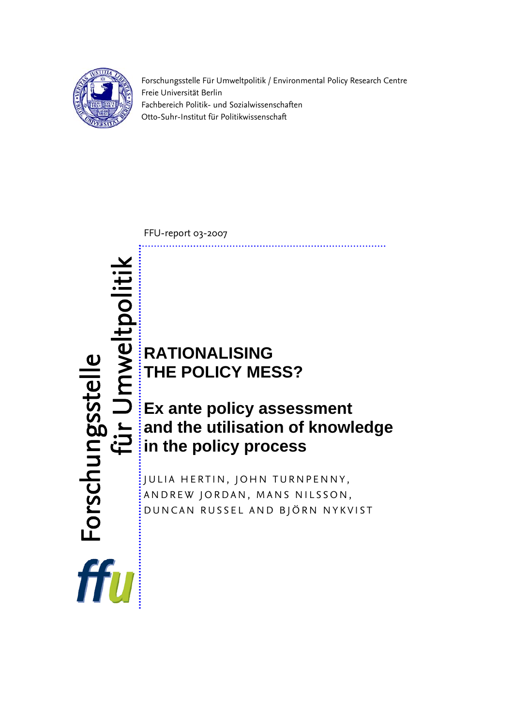

Forschungsstelle Für Umweltpolitik / Environmental Policy Research Centre Freie Universität Berlin Fachbereich Politik- und Sozialwissenschaften Otto-Suhr-Institut für Politikwissenschaft

FFU-report 03-2007

**RATIONALISING THE POLICY MESS?**

**Ex ante policy assessment and the utilisation of knowledge**  and the utilisation of<br>in the policy process

JULIA HERTIN, JOHN TURNPENNY, ANDREW JORDAN, MANS NILSSON, DUNCAN RUSSEL AND BJÖRN NYKVIST

Jmweltpoliti für Umwelt Forschungsstelle Forschungsstelle fiir<br>f ffu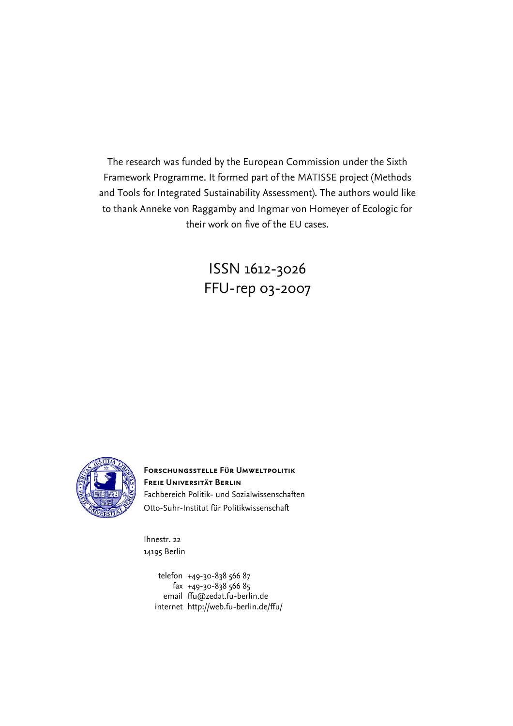The research was funded by the European Commission under the Sixth Framework Programme. It formed part of the MATISSE project (Methods and Tools for Integrated Sustainability Assessment). The authors would like to thank Anneke von Raggamby and Ingmar von Homeyer of Ecologic for their work on five of the EU cases.

> ISSN 1612-3026 FFU-rep 03-2007



**Forschungsstelle Für Umweltpolitik Freie Universität Berlin** Fachbereich Politik- und Sozialwissenschaften Otto-Suhr-Institut für Politikwissenschaft

Ihnestr. 22 14195 Berlin

> telefon +49-30-838 566 87 fax +49-30-838 566 85 email [ffu@zedat.fu-berlin.de](mailto:ffu@zedat.fu-berlin.de) internet http://web.fu-berlin.de/ffu/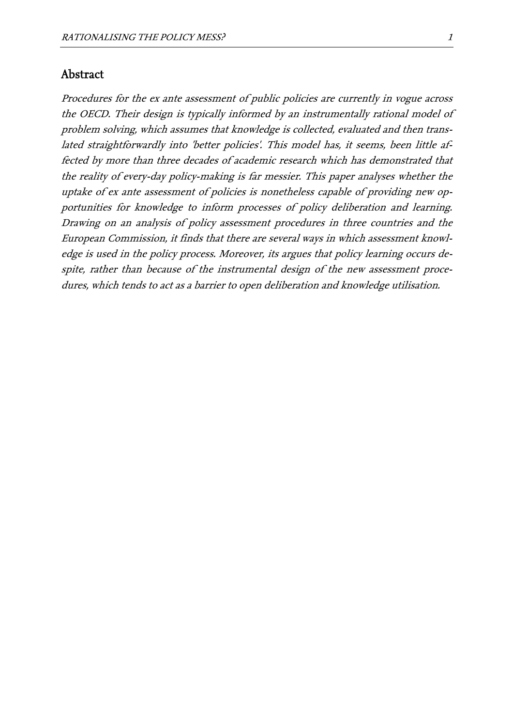### Abstract

Procedures for the ex ante assessment of public policies are currently in vogue across the OECD. Their design is typically informed by an instrumentally rational model of problem solving, which assumes that knowledge is collected, evaluated and then translated straightforwardly into 'better policies'. This model has, it seems, been little affected by more than three decades of academic research which has demonstrated tha tthe reality of every-day policy-making is far messier. This paper analyses whether the uptake of ex ante assessment of policies is nonetheless capable of providing new opportunities for knowledge to inform processes of policy deliberation and learning. Drawing on an analysis of policy assessment procedures in three countries and the European Commission, it finds that there are several ways in which assessment knowledge is used in the policy process. Moreover, its argues that policy learning occurs despite, rather than because of the instrumental design of the new assessment procedures, which tends to act as a barrier to open deliberation and knowledge utilisation.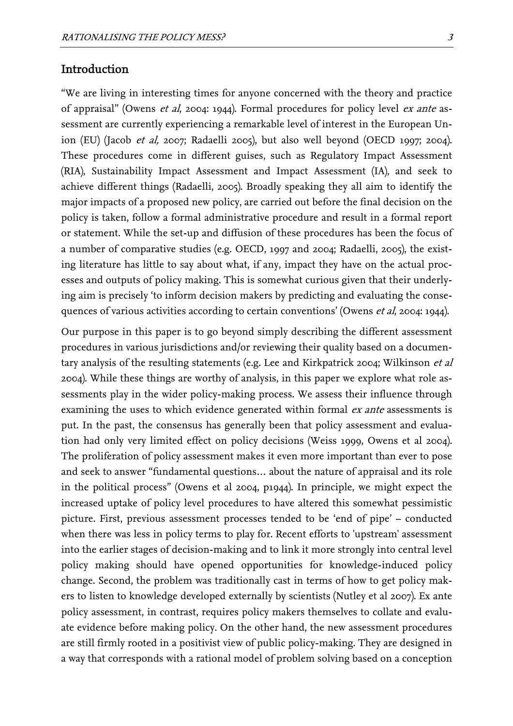"We are living in interesting times for anyone concerned with the theory and practice of appraisal" (Owens et al, 2004: 1944). Formal procedures for policy level ex ante assessment are currently experiencing a remarkable level of interest in the European Union (EU) (Jacob et al, 2007; Radaelli 2005), but also well beyond (OECD 1997; 2004). These procedures come in different guises, such as Regulatory Impact Assessment (RIA), Sustainability Impact Assessment and Impact Assessment (IA), and seek to achieve different things (Radaelli, 2005). Broadly speaking they all aim to identify the major impacts of a proposed new policy, are carried out before the final decision on the policy is taken, follow a formal administrative procedure and result in a formal report or statement. While the set-up and diffusion of these procedures has been the focus of a number of comparative studies (e.g. OECD, 1997 and 2004; Radaelli, 2005), the existing literature has little to say about what, if any, impact they have on the actual processes and outputs of policy making. This is somewhat curious given that their underlying aim is precisely 'to inform decision makers by predicting and evaluating the consequences of various activities according to certain conventions' (Owens et al, 2004: 1944).

Our purpose in this paper is to go beyond simply describing the different assessment procedures in various jurisdictions and/or reviewing their quality based on a documentary analysis of the resulting statements (e.g. Lee and Kirkpatrick 2004; Wilkinson et al 2004). While these things are worthy of analysis, in this paper we explore what role assessments play in the wider policy-making process. We assess their influence through examining the uses to which evidence generated within formal *ex ante* assessments is put. In the past, the consensus has generally been that policy assessment and evaluation had only very limited effect on policy decisions (Weiss 1999, Owens et al 2004). The proliferation of policy assessment makes it even more important than ever to pose and seek to answer "fundamental questions… about the nature of appraisal and its role in the political process" (Owens et al 2004, p1944). In principle, we might expect the increased uptake of policy level procedures to have altered this somewhat pessimistic picture. First, previous assessment processes tended to be 'end of pipe' – conducted when there was less in policy terms to play for. Recent efforts to 'upstream' assessment into the earlier stages of decision-making and to link it more strongly into central level policy making should have opened opportunities for knowledge-induced policy change. Second, the problem was traditionally cast in terms of how to get policy makers to listen to knowledge developed externally by scientists (Nutley et al 2007). Ex ante policy assessment, in contrast, requires policy makers themselves to collate and evaluate evidence before making policy. On the other hand, the new assessment procedures are still firmly rooted in a positivist view of public policy-making. They are designed in a way that corresponds with a rational model of problem solving based on a conception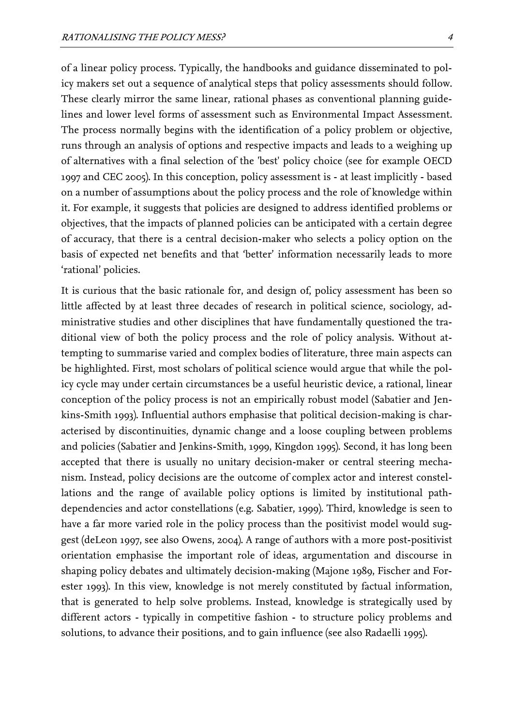of a linear policy process. Typically, the handbooks and guidance disseminated to policy makers set out a sequence of analytical steps that policy assessments should follow. These clearly mirror the same linear, rational phases as conventional planning guidelines and lower level forms of assessment such as Environmental Impact Assessment. The process normally begins with the identification of a policy problem or objective, runs through an analysis of options and respective impacts and leads to a weighing up of alternatives with a final selection of the 'best' policy choice (see for example OECD 1997 and CEC 2005). In this conception, policy assessment is - at least implicitly - based on a number of assumptions about the policy process and the role of knowledge within it. For example, it suggests that policies are designed to address identified problems or objectives, that the impacts of planned policies can be anticipated with a certain degree of accuracy, that there is a central decision-maker who selects a policy option on the basis of expected net benefits and that 'better' information necessarily leads to more 'rational' policies.

It is curious that the basic rationale for, and design of, policy assessment has been so little affected by at least three decades of research in political science, sociology, administrative studies and other disciplines that have fundamentally questioned the traditional view of both the policy process and the role of policy analysis. Without attempting to summarise varied and complex bodies of literature, three main aspects can be highlighted. First, most scholars of political science would argue that while the policy cycle may under certain circumstances be a useful heuristic device, a rational, linear conception of the policy process is not an empirically robust model (Sabatier and Jenkins-Smith 1993). Influential authors emphasise that political decision-making is characterised by discontinuities, dynamic change and a loose coupling between problems and policies (Sabatier and Jenkins-Smith, 1999, Kingdon 1995). Second, it has long been accepted that there is usually no unitary decision-maker or central steering mechanism. Instead, policy decisions are the outcome of complex actor and interest constellations and the range of available policy options is limited by institutional pathdependencies and actor constellations (e.g. Sabatier, 1999). Third, knowledge is seen to have a far more varied role in the policy process than the positivist model would suggest (deLeon 1997, see also Owens, 2004). A range of authors with a more post-positivist orientation emphasise the important role of ideas, argumentation and discourse in shaping policy debates and ultimately decision-making (Majone 1989, Fischer and Forester 1993). In this view, knowledge is not merely constituted by factual information, that is generated to help solve problems. Instead, knowledge is strategically used by different actors - typically in competitive fashion - to structure policy problems and solutions, to advance their positions, and to gain influence (see also Radaelli 1995).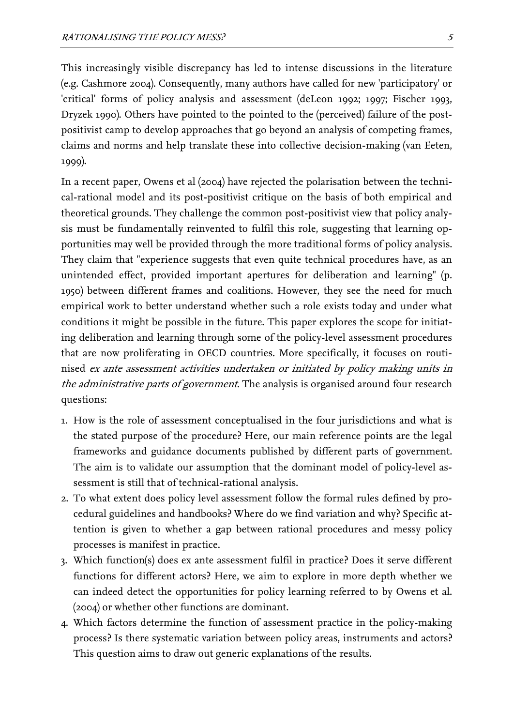This increasingly visible discrepancy has led to intense discussions in the literature (e.g. Cashmore 2004). Consequently, many authors have called for new 'participatory' or 'critical' forms of policy analysis and assessment (deLeon 1992; 1997; Fischer 1993, Dryzek 1990). Others have pointed to the pointed to the (perceived) failure of the postpositivist camp to develop approaches that go beyond an analysis of competing frames, claims and norms and help translate these into collective decision-making (van Eeten, 1999).

In a recent paper, Owens et al (2004) have rejected the polarisation between the technical-rational model and its post-positivist critique on the basis of both empirical and theoretical grounds. They challenge the common post-positivist view that policy analysis must be fundamentally reinvented to fulfil this role, suggesting that learning opportunities may well be provided through the more traditional forms of policy analysis. They claim that "experience suggests that even quite technical procedures have, as an unintended effect, provided important apertures for deliberation and learning" (p. 1950) between different frames and coalitions. However, they see the need for much empirical work to better understand whether such a role exists today and under what conditions it might be possible in the future. This paper explores the scope for initiating deliberation and learning through some of the policy-level assessment procedures that are now proliferating in OECD countries. More specifically, it focuses on routinised ex ante assessment activities undertaken or initiated by policy making units in the administrative parts of government. The analysis is organised around four research questions:

- 1. How is the role of assessment conceptualised in the four jurisdictions and what is the stated purpose of the procedure? Here, our main reference points are the legal frameworks and guidance documents published by different parts of government. The aim is to validate our assumption that the dominant model of policy-level assessment is still that of technical-rational analysis.
- 2. To what extent does policy level assessment follow the formal rules defined by procedural guidelines and handbooks? Where do we find variation and why? Specific attention is given to whether a gap between rational procedures and messy policy processes is manifest in practice.
- 3. Which function(s) does ex ante assessment fulfil in practice? Does it serve different functions for different actors? Here, we aim to explore in more depth whether we can indeed detect the opportunities for policy learning referred to by Owens et al. (2004) or whether other functions are dominant.
- 4. Which factors determine the function of assessment practice in the policy-making process? Is there systematic variation between policy areas, instruments and actors? This question aims to draw out generic explanations of the results.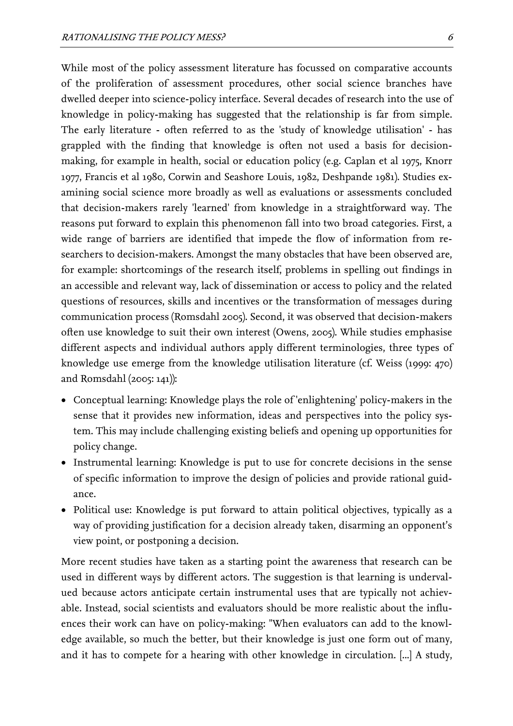While most of the policy assessment literature has focussed on comparative accounts of the proliferation of assessment procedures, other social science branches have dwelled deeper into science-policy interface. Several decades of research into the use of knowledge in policy-making has suggested that the relationship is far from simple. The early literature - often referred to as the 'study of knowledge utilisation' - has grappled with the finding that knowledge is often not used a basis for decisionmaking, for example in health, social or education policy (e.g. Caplan et al 1975, Knorr 1977, Francis et al 1980, Corwin and Seashore Louis, 1982, Deshpande 1981). Studies examining social science more broadly as well as evaluations or assessments concluded that decision-makers rarely 'learned' from knowledge in a straightforward way. The reasons put forward to explain this phenomenon fall into two broad categories. First, a wide range of barriers are identified that impede the flow of information from researchers to decision-makers. Amongst the many obstacles that have been observed are, for example: shortcomings of the research itself, problems in spelling out findings in an accessible and relevant way, lack of dissemination or access to policy and the related questions of resources, skills and incentives or the transformation of messages during communication process (Romsdahl 2005). Second, it was observed that decision-makers often use knowledge to suit their own interest (Owens, 2005). While studies emphasise different aspects and individual authors apply different terminologies, three types of knowledge use emerge from the knowledge utilisation literature (cf. Weiss (1999: 470) and Romsdahl (2005: 141)):

- Conceptual learning: Knowledge plays the role of 'enlightening' policy-makers in the sense that it provides new information, ideas and perspectives into the policy system. This may include challenging existing beliefs and opening up opportunities for policy change.
- Instrumental learning: Knowledge is put to use for concrete decisions in the sense of specific information to improve the design of policies and provide rational guidance.
- Political use: Knowledge is put forward to attain political objectives, typically as a way of providing justification for a decision already taken, disarming an opponent's view point, or postponing a decision.

More recent studies have taken as a starting point the awareness that research can be used in different ways by different actors. The suggestion is that learning is undervalued because actors anticipate certain instrumental uses that are typically not achievable. Instead, social scientists and evaluators should be more realistic about the influences their work can have on policy-making: "When evaluators can add to the knowledge available, so much the better, but their knowledge is just one form out of many, and it has to compete for a hearing with other knowledge in circulation. [...] A study,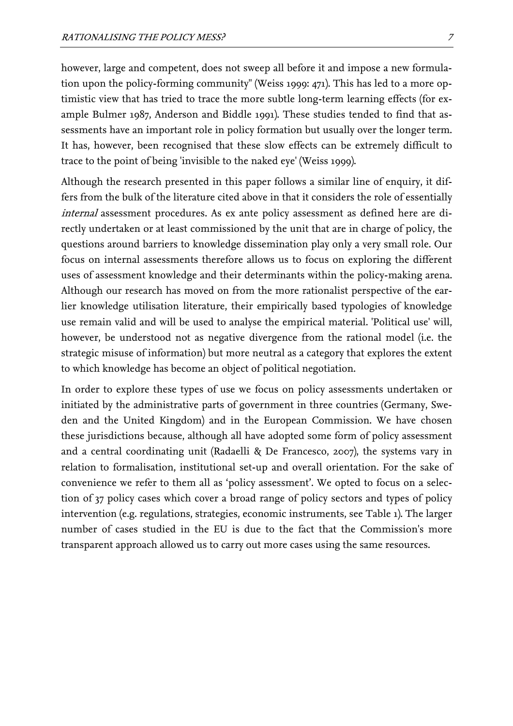however, large and competent, does not sweep all before it and impose a new formulation upon the policy-forming community" (Weiss 1999: 471). This has led to a more optimistic view that has tried to trace the more subtle long-term learning effects (for example Bulmer 1987, Anderson and Biddle 1991). These studies tended to find that assessments have an important role in policy formation but usually over the longer term. It has, however, been recognised that these slow effects can be extremely difficult to trace to the point of being 'invisible to the naked eye' (Weiss 1999).

Although the research presented in this paper follows a similar line of enquiry, it differs from the bulk of the literature cited above in that it considers the role of essentially internal assessment procedures. As ex ante policy assessment as defined here are directly undertaken or at least commissioned by the unit that are in charge of policy, the questions around barriers to knowledge dissemination play only a very small role. Our focus on internal assessments therefore allows us to focus on exploring the different uses of assessment knowledge and their determinants within the policy-making arena. Although our research has moved on from the more rationalist perspective of the earlier knowledge utilisation literature, their empirically based typologies of knowledge use remain valid and will be used to analyse the empirical material. 'Political use' will, however, be understood not as negative divergence from the rational model (i.e. the strategic misuse of information) but more neutral as a category that explores the extent to which knowledge has become an object of political negotiation.

In order to explore these types of use we focus on policy assessments undertaken or initiated by the administrative parts of government in three countries (Germany, Sweden and the United Kingdom) and in the European Commission. We have chosen these jurisdictions because, although all have adopted some form of policy assessment and a central coordinating unit (Radaelli & De Francesco, 2007), the systems vary in relation to formalisation, institutional set-up and overall orientation. For the sake of convenience we refer to them all as 'policy assessment'. We opted to focus on a selection of 37 policy cases which cover a broad range of policy sectors and types of policy intervention (e.g. regulations, strategies, economic instruments, see Table 1). The larger number of cases studied in the EU is due to the fact that the Commission's more transparent approach allowed us to carry out more cases using the same resources.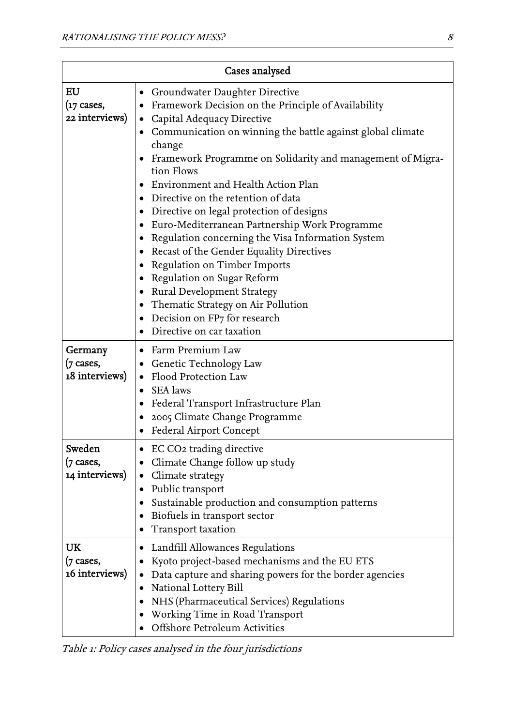| Cases analysed                         |                                                                                                                                                                                                                                                                                                                                                                                                                                                                                                                                                                                                                                                                                                                                                                                                          |
|----------------------------------------|----------------------------------------------------------------------------------------------------------------------------------------------------------------------------------------------------------------------------------------------------------------------------------------------------------------------------------------------------------------------------------------------------------------------------------------------------------------------------------------------------------------------------------------------------------------------------------------------------------------------------------------------------------------------------------------------------------------------------------------------------------------------------------------------------------|
| EU<br>(17 cases,<br>22 interviews)     | Groundwater Daughter Directive<br>$\bullet$<br>Framework Decision on the Principle of Availability<br>Capital Adequacy Directive<br>Communication on winning the battle against global climate<br>change<br>Framework Programme on Solidarity and management of Migra-<br>tion Flows<br>Environment and Health Action Plan<br>Directive on the retention of data<br>٠<br>Directive on legal protection of designs<br>Euro-Mediterranean Partnership Work Programme<br>$\bullet$<br>Regulation concerning the Visa Information System<br>٠<br>Recast of the Gender Equality Directives<br>Regulation on Timber Imports<br>Regulation on Sugar Reform<br><b>Rural Development Strategy</b><br>$\bullet$<br>Thematic Strategy on Air Pollution<br>Decision on FP7 for research<br>Directive on car taxation |
| Germany<br>(7 cases,<br>18 interviews) | Farm Premium Law<br>Genetic Technology Law<br>Flood Protection Law<br>$\bullet$<br><b>SEA</b> laws<br>$\bullet$<br>Federal Transport Infrastructure Plan<br>٠<br>2005 Climate Change Programme<br>Federal Airport Concept                                                                                                                                                                                                                                                                                                                                                                                                                                                                                                                                                                                |
| Sweden<br>(7 cases,<br>14 interviews)  | EC CO2 trading directive<br>Climate Change follow up study<br>Climate strategy<br>Public transport<br>Sustainable production and consumption patterns<br>Biofuels in transport sector<br>$\bullet$<br>Transport taxation                                                                                                                                                                                                                                                                                                                                                                                                                                                                                                                                                                                 |
| UK<br>(7 cases,<br>16 interviews)      | Landfill Allowances Regulations<br>Kyoto project-based mechanisms and the EU ETS<br>Data capture and sharing powers for the border agencies<br>National Lottery Bill<br>NHS (Pharmaceutical Services) Regulations<br>Working Time in Road Transport<br><b>Offshore Petroleum Activities</b>                                                                                                                                                                                                                                                                                                                                                                                                                                                                                                              |

Table 1: Policy cases analysed in the four jurisdictions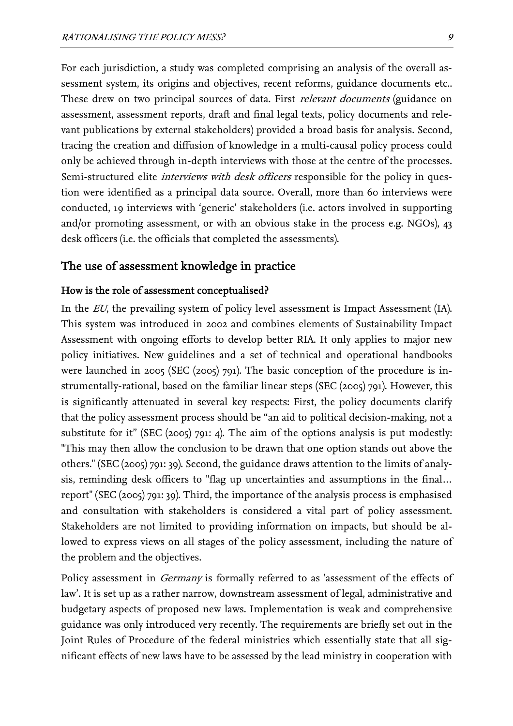For each jurisdiction, a study was completed comprising an analysis of the overall assessment system, its origins and objectives, recent reforms, guidance documents etc.. These drew on two principal sources of data. First *relevant documents* (guidance on assessment, assessment reports, draft and final legal texts, policy documents and relevant publications by external stakeholders) provided a broad basis for analysis. Second, tracing the creation and diffusion of knowledge in a multi-causal policy process could only be achieved through in-depth interviews with those at the centre of the processes. Semi-structured elite *interviews with desk officers* responsible for the policy in question were identified as a principal data source. Overall, more than 60 interviews were conducted, 19 interviews with 'generic' stakeholders (i.e. actors involved in supporting and/or promoting assessment, or with an obvious stake in the process e.g. NGOs), 43 desk officers (i.e. the officials that completed the assessments).

#### The use of assessment knowledge in practice

#### How is the role of assessment conceptualised?

In the *EU*, the prevailing system of policy level assessment is Impact Assessment (IA). This system was introduced in 2002 and combines elements of Sustainability Impact Assessment with ongoing efforts to develop better RIA. It only applies to major new policy initiatives. New guidelines and a set of technical and operational handbooks were launched in 2005 (SEC (2005) 791). The basic conception of the procedure is instrumentally-rational, based on the familiar linear steps (SEC (2005) 791). However, this is significantly attenuated in several key respects: First, the policy documents clarify that the policy assessment process should be "an aid to political decision-making, not a substitute for it" (SEC  $(2005)$  791: 4). The aim of the options analysis is put modestly: "This may then allow the conclusion to be drawn that one option stands out above the others." (SEC (2005) 791: 39). Second, the guidance draws attention to the limits of analysis, reminding desk officers to "flag up uncertainties and assumptions in the final… report" (SEC (2005) 791: 39). Third, the importance of the analysis process is emphasised and consultation with stakeholders is considered a vital part of policy assessment. Stakeholders are not limited to providing information on impacts, but should be allowed to express views on all stages of the policy assessment, including the nature of the problem and the objectives.

Policy assessment in *Germany* is formally referred to as 'assessment of the effects of law'. It is set up as a rather narrow, downstream assessment of legal, administrative and budgetary aspects of proposed new laws. Implementation is weak and comprehensive guidance was only introduced very recently. The requirements are briefly set out in the Joint Rules of Procedure of the federal ministries which essentially state that all significant effects of new laws have to be assessed by the lead ministry in cooperation with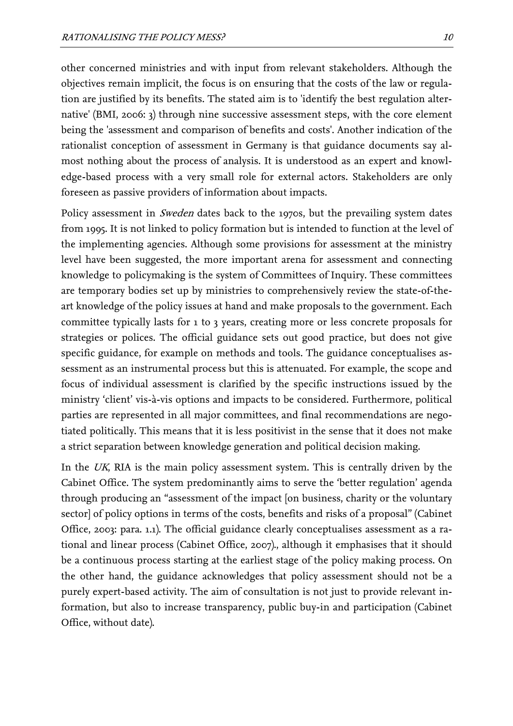other concerned ministries and with input from relevant stakeholders. Although the objectives remain implicit, the focus is on ensuring that the costs of the law or regulation are justified by its benefits. The stated aim is to 'identify the best regulation alternative' (BMI, 2006: 3) through nine successive assessment steps, with the core element being the 'assessment and comparison of benefits and costs'. Another indication of the rationalist conception of assessment in Germany is that guidance documents say almost nothing about the process of analysis. It is understood as an expert and knowledge-based process with a very small role for external actors. Stakeholders are only foreseen as passive providers of information about impacts.

Policy assessment in *Sweden* dates back to the 1970s, but the prevailing system dates from 1995. It is not linked to policy formation but is intended to function at the level of the implementing agencies. Although some provisions for assessment at the ministry level have been suggested, the more important arena for assessment and connecting knowledge to policymaking is the system of Committees of Inquiry. These committees are temporary bodies set up by ministries to comprehensively review the state-of-theart knowledge of the policy issues at hand and make proposals to the government. Each committee typically lasts for 1 to 3 years, creating more or less concrete proposals for strategies or polices. The official guidance sets out good practice, but does not give specific guidance, for example on methods and tools. The guidance conceptualises assessment as an instrumental process but this is attenuated. For example, the scope and focus of individual assessment is clarified by the specific instructions issued by the ministry 'client' vis-à-vis options and impacts to be considered. Furthermore, political parties are represented in all major committees, and final recommendations are negotiated politically. This means that it is less positivist in the sense that it does not make a strict separation between knowledge generation and political decision making.

In the UK, RIA is the main policy assessment system. This is centrally driven by the Cabinet Office. The system predominantly aims to serve the 'better regulation' agenda through producing an "assessment of the impact [on business, charity or the voluntary sector] of policy options in terms of the costs, benefits and risks of a proposal" (Cabinet Office, 2003: para. 1.1). The official guidance clearly conceptualises assessment as a rational and linear process (Cabinet Office, 2007)., although it emphasises that it should be a continuous process starting at the earliest stage of the policy making process. On the other hand, the guidance acknowledges that policy assessment should not be a purely expert-based activity. The aim of consultation is not just to provide relevant information, but also to increase transparency, public buy-in and participation (Cabinet Office, without date).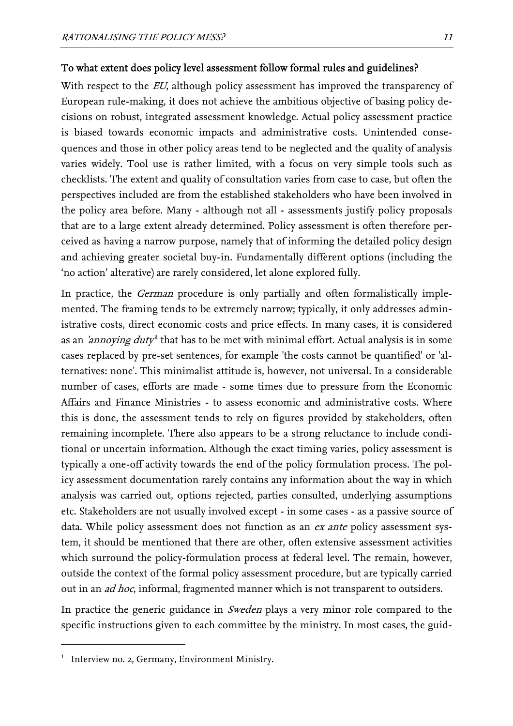#### To what extent does policy level assessment follow formal rules and guidelines?

With respect to the *EU*, although policy assessment has improved the transparency of European rule-making, it does not achieve the ambitious objective of basing policy decisions on robust, integrated assessment knowledge. Actual policy assessment practice is biased towards economic impacts and administrative costs. Unintended consequences and those in other policy areas tend to be neglected and the quality of analysis varies widely. Tool use is rather limited, with a focus on very simple tools such as checklists. The extent and quality of consultation varies from case to case, but often the perspectives included are from the established stakeholders who have been involved in the policy area before. Many - although not all - assessments justify policy proposals that are to a large extent already determined. Policy assessment is often therefore perceived as having a narrow purpose, namely that of informing the detailed policy design and achieving greater societal buy-in. Fundamentally different options (including the 'no action' alterative) are rarely considered, let alone explored fully.

In practice, the *German* procedure is only partially and often formalistically implemented. The framing tends to be extremely narrow; typically, it only addresses administrative costs, direct economic costs and price effects. In many cases, it is considered as an *['](#page-12-0)annoying duty*<sup>1</sup> that has to be met with minimal effort. Actual analysis is in some cases replaced by pre-set sentences, for example 'the costs cannot be quantified' or 'alternatives: none'. This minimalist attitude is, however, not universal. In a considerable number of cases, efforts are made - some times due to pressure from the Economic Affairs and Finance Ministries - to assess economic and administrative costs. Where this is done, the assessment tends to rely on figures provided by stakeholders, often remaining incomplete. There also appears to be a strong reluctance to include conditional or uncertain information. Although the exact timing varies, policy assessment is typically a one-off activity towards the end of the policy formulation process. The policy assessment documentation rarely contains any information about the way in which analysis was carried out, options rejected, parties consulted, underlying assumptions etc. Stakeholders are not usually involved except - in some cases - as a passive source of data. While policy assessment does not function as an *ex ante* policy assessment system, it should be mentioned that there are other, often extensive assessment activities which surround the policy-formulation process at federal level. The remain, however, outside the context of the formal policy assessment procedure, but are typically carried out in an *ad hoc*, informal, fragmented manner which is not transparent to outsiders.

In practice the generic guidance in *Sweden* plays a very minor role compared to the specific instructions given to each committee by the ministry. In most cases, the guid-

<span id="page-12-0"></span><sup>&</sup>lt;sup>1</sup> Interview no. 2, Germany, Environment Ministry.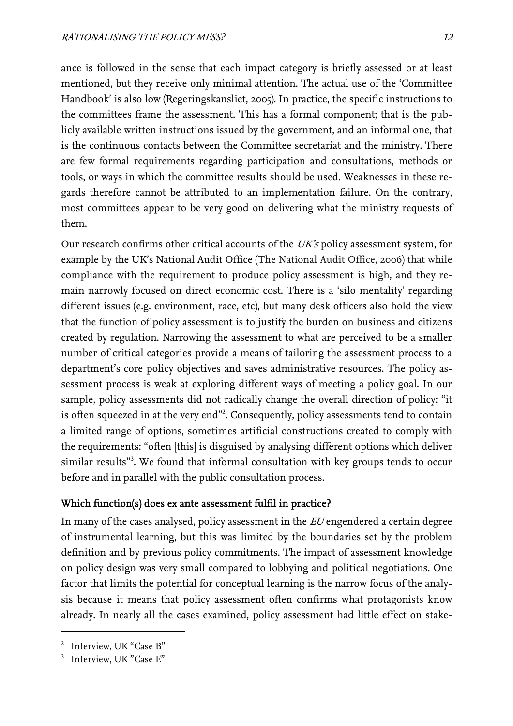ance is followed in the sense that each impact category is briefly assessed or at least mentioned, but they receive only minimal attention. The actual use of the 'Committee Handbook' is also low (Regeringskansliet, 2005). In practice, the specific instructions to the committees frame the assessment. This has a formal component; that is the publicly available written instructions issued by the government, and an informal one, that is the continuous contacts between the Committee secretariat and the ministry. There are few formal requirements regarding participation and consultations, methods or tools, or ways in which the committee results should be used. Weaknesses in these regards therefore cannot be attributed to an implementation failure. On the contrary, most committees appear to be very good on delivering what the ministry requests of them.

Our research confirms other critical accounts of the  $UK's$  policy assessment system, for example by the UK's National Audit Office (The National Audit Office, 2006) that while compliance with the requirement to produce policy assessment is high, and they remain narrowly focused on direct economic cost. There is a 'silo mentality' regarding different issues (e.g. environment, race, etc), but many desk officers also hold the view that the function of policy assessment is to justify the burden on business and citizens created by regulation. Narrowing the assessment to what are perceived to be a smaller number of critical categories provide a means of tailoring the assessment process to a department's core policy objectives and saves administrative resources. The policy assessment process is weak at exploring different ways of meeting a policy goal. In our sample, policy assessments did not radically change the overall direction of policy: "it is often squeezed in at the very end"<sup>2</sup>[.](#page-13-0) Consequently, policy assessments tend to contain a limited range of options, sometimes artificial constructions created to comply with the requirements: "often [this] is disguised by analysing different options which deliver similar results"<sup>3</sup> [.](#page-13-1) We found that informal consultation with key groups tends to occur before and in parallel with the public consultation process.

## Which function(s) does ex ante assessment fulfil in practice?

In many of the cases analysed, policy assessment in the EU engendered a certain degree of instrumental learning, but this was limited by the boundaries set by the problem definition and by previous policy commitments. The impact of assessment knowledge on policy design was very small compared to lobbying and political negotiations. One factor that limits the potential for conceptual learning is the narrow focus of the analysis because it means that policy assessment often confirms what protagonists know already. In nearly all the cases examined, policy assessment had little effect on stake-

<span id="page-13-0"></span><sup>&</sup>lt;sup>2</sup> Interview, UK "Case B"

<span id="page-13-1"></span><sup>3</sup> Interview, UK "Case E"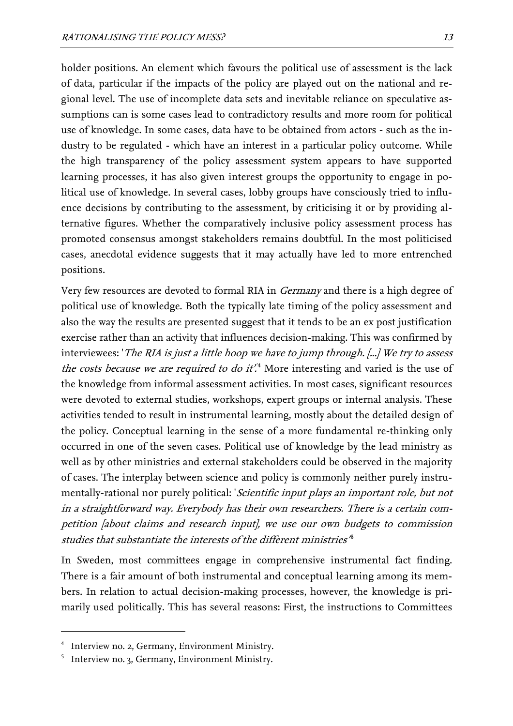holder positions. An element which favours the political use of assessment is the lack of data, particular if the impacts of the policy are played out on the national and regional level. The use of incomplete data sets and inevitable reliance on speculative assumptions can is some cases lead to contradictory results and more room for political use of knowledge. In some cases, data have to be obtained from actors - such as the industry to be regulated - which have an interest in a particular policy outcome. While the high transparency of the policy assessment system appears to have supported learning processes, it has also given interest groups the opportunity to engage in political use of knowledge. In several cases, lobby groups have consciously tried to influence decisions by contributing to the assessment, by criticising it or by providing alternative figures. Whether the comparatively inclusive policy assessment process has promoted consensus amongst stakeholders remains doubtful. In the most politicised cases, anecdotal evidence suggests that it may actually have led to more entrenched positions.

Very few resources are devoted to formal RIA in Germany and there is a high degree of political use of knowledge. Both the typically late timing of the policy assessment and also the way the results are presented suggest that it tends to be an ex post justification exercise rather than an activity that influences decision-making. This was confirmed by interviewees: 'The RIA is just a little hoop we have to jump through. [...] We try to assess the costs because we are required to do it.<sup>[4](#page-14-0)</sup> More interesting and varied is the use of the knowledge from informal assessment activities. In most cases, significant resources were devoted to external studies, workshops, expert groups or internal analysis. These activities tended to result in instrumental learning, mostly about the detailed design of the policy. Conceptual learning in the sense of a more fundamental re-thinking only occurred in one of the seven cases. Political use of knowledge by the lead ministry as well as by other ministries and external stakeholders could be observed in the majority of cases. The interplay between science and policy is commonly neither purely instrumentally-rational nor purely political: *Scientific input plays an important role, but not* in a straightforward way. Everybody has their own researchers. There is a certain competition [about claims and research input], we use our own budgets to commission studies that substantiate the interests of the different ministries'<sup>5</sup>

In Sweden, most committees engage in comprehensive instrumental fact finding. There is a fair amount of both instrumental and conceptual learning among its members. In relation to actual decision-making processes, however, the knowledge is primarily used politically. This has several reasons: First, the instructions to Committees

<span id="page-14-0"></span><sup>4</sup> Interview no. 2, Germany, Environment Ministry.

<span id="page-14-1"></span><sup>5</sup> Interview no. 3, Germany, Environment Ministry.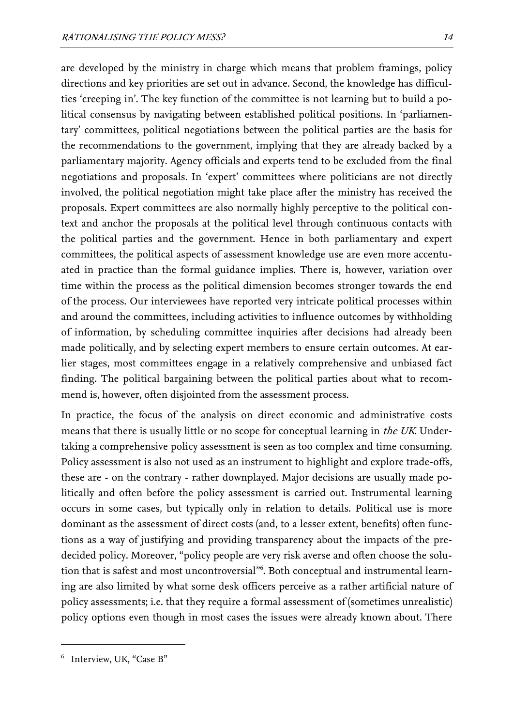are developed by the ministry in charge which means that problem framings, policy directions and key priorities are set out in advance. Second, the knowledge has difficulties 'creeping in'. The key function of the committee is not learning but to build a political consensus by navigating between established political positions. In 'parliamentary' committees, political negotiations between the political parties are the basis for the recommendations to the government, implying that they are already backed by a parliamentary majority. Agency officials and experts tend to be excluded from the final negotiations and proposals. In 'expert' committees where politicians are not directly involved, the political negotiation might take place after the ministry has received the proposals. Expert committees are also normally highly perceptive to the political context and anchor the proposals at the political level through continuous contacts with the political parties and the government. Hence in both parliamentary and expert committees, the political aspects of assessment knowledge use are even more accentuated in practice than the formal guidance implies. There is, however, variation over time within the process as the political dimension becomes stronger towards the end of the process. Our interviewees have reported very intricate political processes within and around the committees, including activities to influence outcomes by withholding of information, by scheduling committee inquiries after decisions had already been made politically, and by selecting expert members to ensure certain outcomes. At earlier stages, most committees engage in a relatively comprehensive and unbiased fact finding. The political bargaining between the political parties about what to recommend is, however, often disjointed from the assessment process.

In practice, the focus of the analysis on direct economic and administrative costs means that there is usually little or no scope for conceptual learning in *the UK*. Undertaking a comprehensive policy assessment is seen as too complex and time consuming. Policy assessment is also not used as an instrument to highlight and explore trade-offs, these are - on the contrary - rather downplayed. Major decisions are usually made politically and often before the policy assessment is carried out. Instrumental learning occurs in some cases, but typically only in relation to details. Political use is more dominant as the assessment of direct costs (and, to a lesser extent, benefits) often functions as a way of justifying and providing transparency about the impacts of the predecided policy. Moreover, "policy people are very risk averse and often choose the solution that is safest and most uncontroversial"<sup>6</sup> [.](#page-15-0) Both conceptual and instrumental learning are also limited by what some desk officers perceive as a rather artificial nature of policy assessments; i.e. that they require a formal assessment of (sometimes unrealistic) policy options even though in most cases the issues were already known about. There

<span id="page-15-0"></span><sup>6</sup> Interview, UK, "Case B"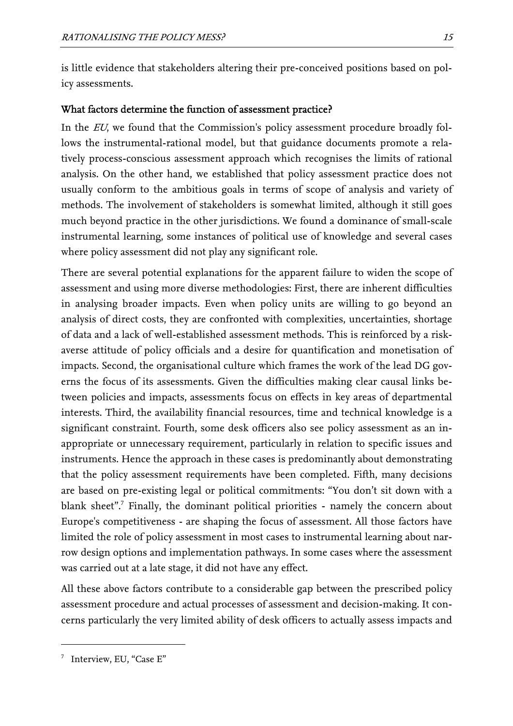is little evidence that stakeholders altering their pre-conceived positions based on policy assessments.

### What factors determine the function of assessment practice?

In the *EU*, we found that the Commission's policy assessment procedure broadly follows the instrumental-rational model, but that guidance documents promote a relatively process-conscious assessment approach which recognises the limits of rational analysis. On the other hand, we established that policy assessment practice does not usually conform to the ambitious goals in terms of scope of analysis and variety of methods. The involvement of stakeholders is somewhat limited, although it still goes much beyond practice in the other jurisdictions. We found a dominance of small-scale instrumental learning, some instances of political use of knowledge and several cases where policy assessment did not play any significant role.

There are several potential explanations for the apparent failure to widen the scope of assessment and using more diverse methodologies: First, there are inherent difficulties in analysing broader impacts. Even when policy units are willing to go beyond an analysis of direct costs, they are confronted with complexities, uncertainties, shortage of data and a lack of well-established assessment methods. This is reinforced by a riskaverse attitude of policy officials and a desire for quantification and monetisation of impacts. Second, the organisational culture which frames the work of the lead DG governs the focus of its assessments. Given the difficulties making clear causal links between policies and impacts, assessments focus on effects in key areas of departmental interests. Third, the availability financial resources, time and technical knowledge is a significant constraint. Fourth, some desk officers also see policy assessment as an inappropriate or unnecessary requirement, particularly in relation to specific issues and instruments. Hence the approach in these cases is predominantly about demonstrating that the policy assessment requirements have been completed. Fifth, many decisions are based on pre-existing legal or political commitments: "You don't sit down with a blanksheet".<sup>7</sup> Finally, the dominant political priorities - namely the concern about Europe's competitiveness - are shaping the focus of assessment. All those factors have limited the role of policy assessment in most cases to instrumental learning about narrow design options and implementation pathways. In some cases where the assessment was carried out at a late stage, it did not have any effect.

All these above factors contribute to a considerable gap between the prescribed policy assessment procedure and actual processes of assessment and decision-making. It concerns particularly the very limited ability of desk officers to actually assess impacts and

<span id="page-16-0"></span><sup>7</sup> Interview, EU, "Case E"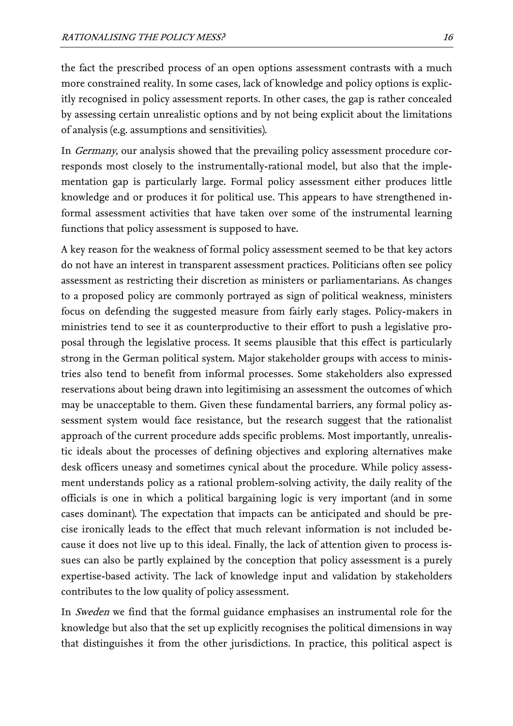the fact the prescribed process of an open options assessment contrasts with a much more constrained reality. In some cases, lack of knowledge and policy options is explicitly recognised in policy assessment reports. In other cases, the gap is rather concealed by assessing certain unrealistic options and by not being explicit about the limitations of analysis (e.g. assumptions and sensitivities).

In Germany, our analysis showed that the prevailing policy assessment procedure corresponds most closely to the instrumentally-rational model, but also that the implementation gap is particularly large. Formal policy assessment either produces little knowledge and or produces it for political use. This appears to have strengthened informal assessment activities that have taken over some of the instrumental learning functions that policy assessment is supposed to have.

A key reason for the weakness of formal policy assessment seemed to be that key actors do not have an interest in transparent assessment practices. Politicians often see policy assessment as restricting their discretion as ministers or parliamentarians. As changes to a proposed policy are commonly portrayed as sign of political weakness, ministers focus on defending the suggested measure from fairly early stages. Policy-makers in ministries tend to see it as counterproductive to their effort to push a legislative proposal through the legislative process. It seems plausible that this effect is particularly strong in the German political system. Major stakeholder groups with access to ministries also tend to benefit from informal processes. Some stakeholders also expressed reservations about being drawn into legitimising an assessment the outcomes of which may be unacceptable to them. Given these fundamental barriers, any formal policy assessment system would face resistance, but the research suggest that the rationalist approach of the current procedure adds specific problems. Most importantly, unrealistic ideals about the processes of defining objectives and exploring alternatives make desk officers uneasy and sometimes cynical about the procedure. While policy assessment understands policy as a rational problem-solving activity, the daily reality of the officials is one in which a political bargaining logic is very important (and in some cases dominant). The expectation that impacts can be anticipated and should be precise ironically leads to the effect that much relevant information is not included because it does not live up to this ideal. Finally, the lack of attention given to process issues can also be partly explained by the conception that policy assessment is a purely expertise-based activity. The lack of knowledge input and validation by stakeholders contributes to the low quality of policy assessment.

In *Sweden* we find that the formal guidance emphasises an instrumental role for the knowledge but also that the set up explicitly recognises the political dimensions in way that distinguishes it from the other jurisdictions. In practice, this political aspect is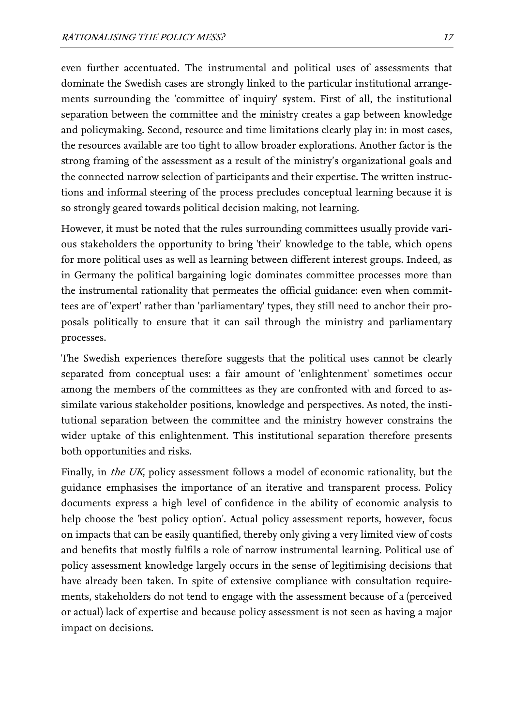even further accentuated. The instrumental and political uses of assessments that dominate the Swedish cases are strongly linked to the particular institutional arrangements surrounding the 'committee of inquiry' system. First of all, the institutional separation between the committee and the ministry creates a gap between knowledge and policymaking. Second, resource and time limitations clearly play in: in most cases, the resources available are too tight to allow broader explorations. Another factor is the strong framing of the assessment as a result of the ministry's organizational goals and the connected narrow selection of participants and their expertise. The written instructions and informal steering of the process precludes conceptual learning because it is so strongly geared towards political decision making, not learning.

However, it must be noted that the rules surrounding committees usually provide various stakeholders the opportunity to bring 'their' knowledge to the table, which opens for more political uses as well as learning between different interest groups. Indeed, as in Germany the political bargaining logic dominates committee processes more than the instrumental rationality that permeates the official guidance: even when committees are of 'expert' rather than 'parliamentary' types, they still need to anchor their proposals politically to ensure that it can sail through the ministry and parliamentary processes.

The Swedish experiences therefore suggests that the political uses cannot be clearly separated from conceptual uses: a fair amount of 'enlightenment' sometimes occur among the members of the committees as they are confronted with and forced to assimilate various stakeholder positions, knowledge and perspectives. As noted, the institutional separation between the committee and the ministry however constrains the wider uptake of this enlightenment. This institutional separation therefore presents both opportunities and risks.

Finally, in *the UK*, policy assessment follows a model of economic rationality, but the guidance emphasises the importance of an iterative and transparent process. Policy documents express a high level of confidence in the ability of economic analysis to help choose the 'best policy option'. Actual policy assessment reports, however, focus on impacts that can be easily quantified, thereby only giving a very limited view of costs and benefits that mostly fulfils a role of narrow instrumental learning. Political use of policy assessment knowledge largely occurs in the sense of legitimising decisions that have already been taken. In spite of extensive compliance with consultation requirements, stakeholders do not tend to engage with the assessment because of a (perceived or actual) lack of expertise and because policy assessment is not seen as having a major impact on decisions.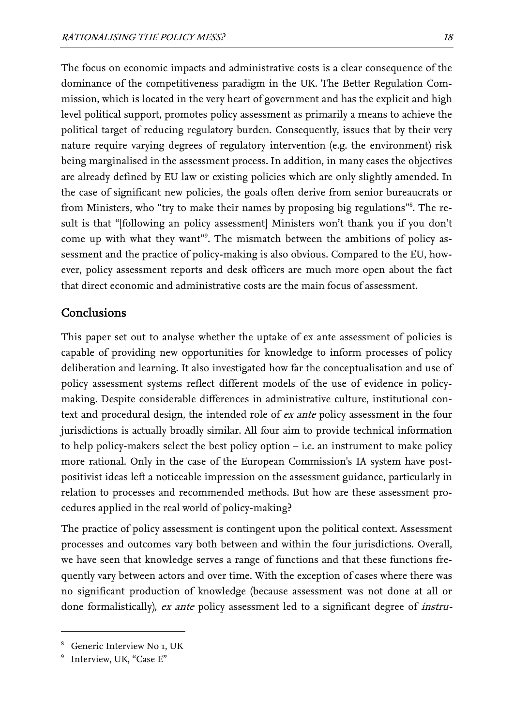The focus on economic impacts and administrative costs is a clear consequence of the dominance of the competitiveness paradigm in the UK. The Better Regulation Commission, which is located in the very heart of government and has the explicit and high level political support, promotes policy assessment as primarily a means to achieve the political target of reducing regulatory burden. Consequently, issues that by their very nature require varying degrees of regulatory intervention (e.g. the environment) risk being marginalised in the assessment process. In addition, in many cases the objectives are already defined by EU law or existing policies which are only slightly amended. In the case of significant new policies, the goals often derive from senior bureaucrats or from Ministers, who "try to make their names by proposing big regulations"<sup>8</sup>[.](#page-19-0) The result is that "[following an policy assessment] Ministers won't thank you if you don't come up with what they want"<sup>9</sup>[.](#page-19-1) The mismatch between the ambitions of policy assessment and the practice of policy-making is also obvious. Compared to the EU, however, policy assessment reports and desk officers are much more open about the fact that direct economic and administrative costs are the main focus of assessment.

## Conclusions

This paper set out to analyse whether the uptake of ex ante assessment of policies is capable of providing new opportunities for knowledge to inform processes of policy deliberation and learning. It also investigated how far the conceptualisation and use of policy assessment systems reflect different models of the use of evidence in policymaking. Despite considerable differences in administrative culture, institutional context and procedural design, the intended role of *ex ante* policy assessment in the four jurisdictions is actually broadly similar. All four aim to provide technical information to help policy-makers select the best policy option – i.e. an instrument to make policy more rational. Only in the case of the European Commission's IA system have postpositivist ideas left a noticeable impression on the assessment guidance, particularly in relation to processes and recommended methods. But how are these assessment procedures applied in the real world of policy-making?

The practice of policy assessment is contingent upon the political context. Assessment processes and outcomes vary both between and within the four jurisdictions. Overall, we have seen that knowledge serves a range of functions and that these functions frequently vary between actors and over time. With the exception of cases where there was no significant production of knowledge (because assessment was not done at all or done formalistically), ex ante policy assessment led to a significant degree of instru-

<span id="page-19-0"></span><sup>8</sup> Generic Interview No 1, UK

<span id="page-19-1"></span><sup>9</sup> Interview, UK, "Case E"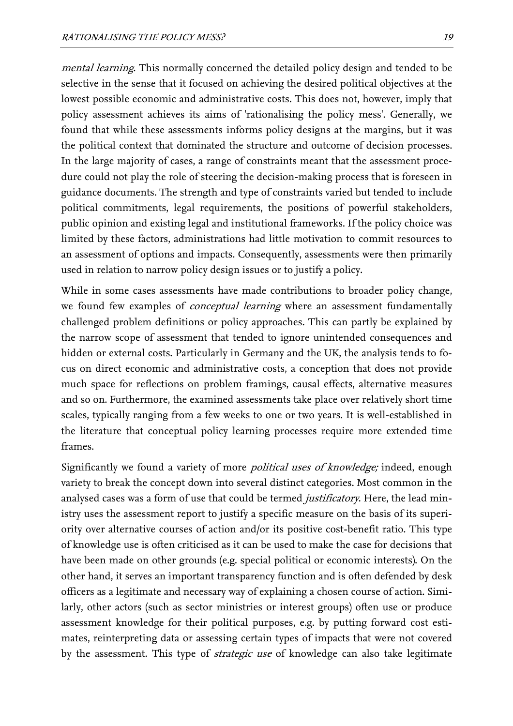mental learning. This normally concerned the detailed policy design and tended to be selective in the sense that it focused on achieving the desired political objectives at the lowest possible economic and administrative costs. This does not, however, imply that policy assessment achieves its aims of 'rationalising the policy mess'. Generally, we found that while these assessments informs policy designs at the margins, but it was the political context that dominated the structure and outcome of decision processes. In the large majority of cases, a range of constraints meant that the assessment procedure could not play the role of steering the decision-making process that is foreseen in guidance documents. The strength and type of constraints varied but tended to include political commitments, legal requirements, the positions of powerful stakeholders, public opinion and existing legal and institutional frameworks. If the policy choice was limited by these factors, administrations had little motivation to commit resources to an assessment of options and impacts. Consequently, assessments were then primarily used in relation to narrow policy design issues or to justify a policy.

While in some cases assessments have made contributions to broader policy change, we found few examples of *conceptual learning* where an assessment fundamentally challenged problem definitions or policy approaches. This can partly be explained by the narrow scope of assessment that tended to ignore unintended consequences and hidden or external costs. Particularly in Germany and the UK, the analysis tends to focus on direct economic and administrative costs, a conception that does not provide much space for reflections on problem framings, causal effects, alternative measures and so on. Furthermore, the examined assessments take place over relatively short time scales, typically ranging from a few weeks to one or two years. It is well-established in the literature that conceptual policy learning processes require more extended time frames.

Significantly we found a variety of more political uses of knowledge; indeed, enough variety to break the concept down into several distinct categories. Most common in the analysed cases was a form of use that could be termed *justificatory*. Here, the lead ministry uses the assessment report to justify a specific measure on the basis of its superiority over alternative courses of action and/or its positive cost-benefit ratio. This type of knowledge use is often criticised as it can be used to make the case for decisions that have been made on other grounds (e.g. special political or economic interests). On the other hand, it serves an important transparency function and is often defended by desk officers as a legitimate and necessary way of explaining a chosen course of action. Similarly, other actors (such as sector ministries or interest groups) often use or produce assessment knowledge for their political purposes, e.g. by putting forward cost estimates, reinterpreting data or assessing certain types of impacts that were not covered by the assessment. This type of *strategic use* of knowledge can also take legitimate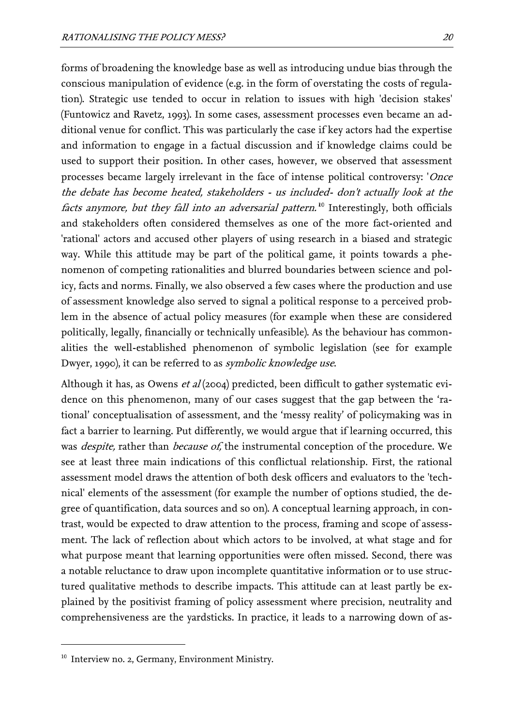forms of broadening the knowledge base as well as introducing undue bias through the conscious manipulation of evidence (e.g. in the form of overstating the costs of regulation). Strategic use tended to occur in relation to issues with high 'decision stakes' (Funtowicz and Ravetz, 1993). In some cases, assessment processes even became an additional venue for conflict. This was particularly the case if key actors had the expertise and information to engage in a factual discussion and if knowledge claims could be used to support their position. In other cases, however, we observed that assessment processes became largely irrelevant in the face of intense political controversy: 'Once the debate has become heated, stakeholders - us included- don't actually look at the factsanymore, but they fall into an adversarial pattern.<sup>10</sup> Interestingly, both officials and stakeholders often considered themselves as one of the more fact-oriented and 'rational' actors and accused other players of using research in a biased and strategic way. While this attitude may be part of the political game, it points towards a phenomenon of competing rationalities and blurred boundaries between science and policy, facts and norms. Finally, we also observed a few cases where the production and use of assessment knowledge also served to signal a political response to a perceived problem in the absence of actual policy measures (for example when these are considered politically, legally, financially or technically unfeasible). As the behaviour has commonalities the well-established phenomenon of symbolic legislation (see for example Dwyer, 1990), it can be referred to as *symbolic knowledge use*.

Although it has, as Owens *et al* (2004) predicted, been difficult to gather systematic evidence on this phenomenon, many of our cases suggest that the gap between the 'rational' conceptualisation of assessment, and the 'messy reality' of policymaking was in fact a barrier to learning. Put differently, we would argue that if learning occurred, this was *despite,* rather than *because of,* the instrumental conception of the procedure. We see at least three main indications of this conflictual relationship. First, the rational assessment model draws the attention of both desk officers and evaluators to the 'technical' elements of the assessment (for example the number of options studied, the degree of quantification, data sources and so on). A conceptual learning approach, in contrast, would be expected to draw attention to the process, framing and scope of assessment. The lack of reflection about which actors to be involved, at what stage and for what purpose meant that learning opportunities were often missed. Second, there was a notable reluctance to draw upon incomplete quantitative information or to use structured qualitative methods to describe impacts. This attitude can at least partly be explained by the positivist framing of policy assessment where precision, neutrality and comprehensiveness are the yardsticks. In practice, it leads to a narrowing down of as-

<span id="page-21-0"></span><sup>&</sup>lt;sup>10</sup> Interview no. 2, Germany, Environment Ministry.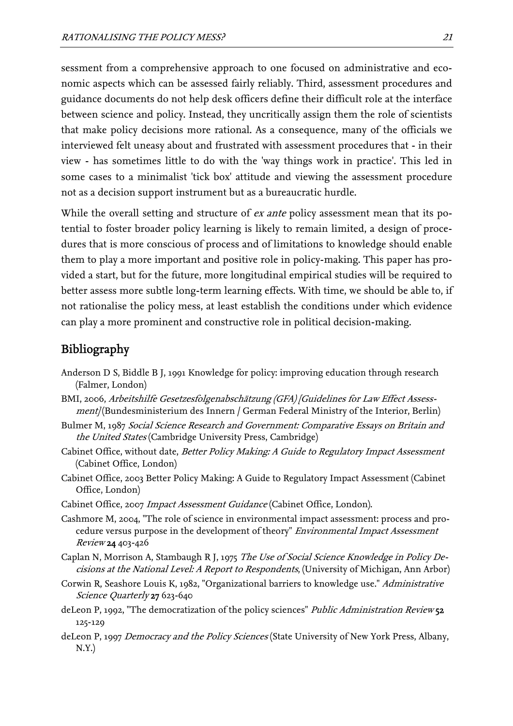sessment from a comprehensive approach to one focused on administrative and economic aspects which can be assessed fairly reliably. Third, assessment procedures and guidance documents do not help desk officers define their difficult role at the interface between science and policy. Instead, they uncritically assign them the role of scientists that make policy decisions more rational. As a consequence, many of the officials we interviewed felt uneasy about and frustrated with assessment procedures that - in their view - has sometimes little to do with the 'way things work in practice'. This led in some cases to a minimalist 'tick box' attitude and viewing the assessment procedure not as a decision support instrument but as a bureaucratic hurdle.

While the overall setting and structure of *ex ante* policy assessment mean that its potential to foster broader policy learning is likely to remain limited, a design of procedures that is more conscious of process and of limitations to knowledge should enable them to play a more important and positive role in policy-making. This paper has provided a start, but for the future, more longitudinal empirical studies will be required to better assess more subtle long-term learning effects. With time, we should be able to, if not rationalise the policy mess, at least establish the conditions under which evidence can play a more prominent and constructive role in political decision-making.

# Bibliography

- Anderson D S, Biddle B J, 1991 Knowledge for policy: improving education through research (Falmer, London)
- BMI, 2006, Arbeitshilfe Gesetzesfolgenabschätzung (GFA) [Guidelines for Law Effect Assess $ment$ /Bundesministerium des Innern / German Federal Ministry of the Interior, Berlin)
- Bulmer M, 1987 Social Science Research and Government: Comparative Essays on Britain and the United States (Cambridge University Press, Cambridge)
- Cabinet Office, without date, Better Policy Making: A Guide to Regulatory Impact Assessment (Cabinet Office, London)
- Cabinet Office, 2003 Better Policy Making: A Guide to Regulatory Impact Assessment (Cabinet Office, London)
- Cabinet Office, 2007 Impact Assessment Guidance (Cabinet Office, London).
- Cashmore M, 2004, "The role of science in environmental impact assessment: process and procedure versus purpose in the development of theory" Environmental Impact Assessment Review 24 403-426
- Caplan N, Morrison A, Stambaugh R J, 1975 *The Use of Social Science Knowledge in Policy De*cisions at the National Level: A Report to Respondents, (University of Michigan, Ann Arbor)
- Corwin R, Seashore Louis K, 1982, "Organizational barriers to knowledge use." Administrative Science Quarterly 27 623-640
- deLeon P, 1992, "The democratization of the policy sciences" *Public Administration Review* 5**2** 125-129
- deLeon P, 1997 Democracy and the Policy Sciences (State University of New York Press, Albany,  $N.Y.$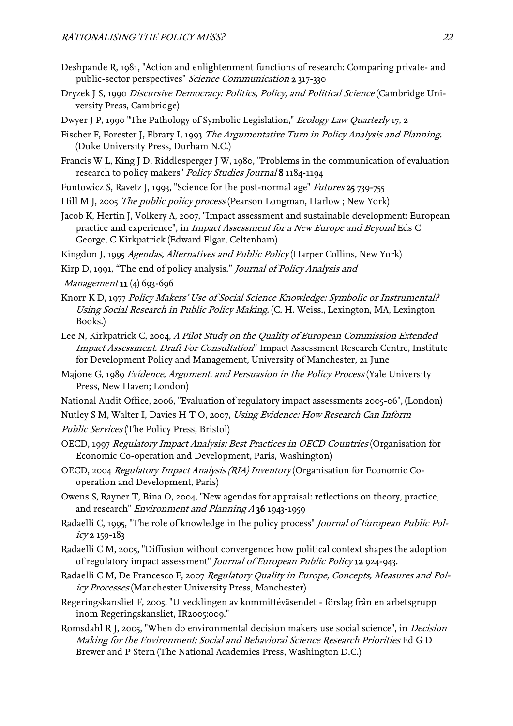- Deshpande R, 1981, "Action and enlightenment functions of research: Comparing private- and public-sector perspectives" Science Communication 2 317-330
- Dryzek J S, 1990 *Discursive Democracy: Politics, Policy, and Political Science* (Cambridge University Press, Cambridge)
- Dwyer J P, 1990 "The Pathology of Symbolic Legislation," Ecology Law Quarterly 17, 2
- Fischer F, Forester J, Ebrary I, 1993 *The Argumentative Turn in Policy Analysis and Planning.* (Duke University Press, Durham N.C.)
- Francis W L, King J D, Riddlesperger J W, 1980, "Problems in the communication of evaluation research to policy makers" Policy Studies Journal 8 1184-1194
- Funtowicz S, Ravetz J, 1993, "Science for the post-normal age" Futures 25 739-755
- Hill M J, 2005 *The public policy process* (Pearson Longman, Harlow ; New York)
- Jacob K, Hertin J, Volkery A, 2007, "Impact assessment and sustainable development: European practice and experience", in Impact Assessment for a New Europe and Beyond Eds C George, C Kirkpatrick (Edward Elgar, Celtenham)
- Kingdon J, 1995 Agendas, Alternatives and Public Policy (Harper Collins, New York)
- Kirp D, 1991, "The end of policy analysis." Journal of Policy Analysis and
- *Management* **11** (4) 693-696
- Knorr K D, 1977 *Policy Makers' Use of Social Science Knowledge: Symbolic or Instrumental?* Using Social Research in Public Policy Making. (C. H. Weiss., Lexington, MA, Lexington Books.)
- Lee N, Kirkpatrick C, 2004, A Pilot Study on the Quality of European Commission Extended Impact Assessment. Draft For Consultation" Impact Assessment Research Centre, Institute for Development Policy and Management, University of Manchester, 21 June
- Majone G, 1989 *Evidence, Argument, and Persuasion in the Policy Process* (Yale University Press, New Haven; London)
- National Audit Office, 2006, "Evaluation of regulatory impact assessments 2005-06", (London)
- Nutley S M, Walter I, Davies H T O, 2007, Using Evidence: How Research Can Inform
- Public Services (The Policy Press, Bristol)
- OECD, 1997 *Regulatory Impact Analysis: Best Practices in OECD Countries* (Organisation for Economic Co-operation and Development, Paris, Washington)
- OECD, 2004 Regulatory Impact Analysis (RIA) Inventory (Organisation for Economic Cooperation and Development, Paris)
- Owens S, Rayner T, Bina O, 2004, "New agendas for appraisal: reflections on theory, practice, and research" Environment and Planning A 36 1943-1959
- Radaelli C, 1995, "The role of knowledge in the policy process" *Journal of European Public Pol* $icy2159-183$
- Radaelli C M, 2005, "Diffusion without convergence: how political context shapes the adoption of regulatory impact assessment" Journal of European Public Policy 12 924-943.
- Radaelli C M, De Francesco F, 2007 *Regulatory Quality in Europe, Concepts, Measures and Pol*icy Processes (Manchester University Press, Manchester)
- Regeringskansliet F, 2005, "Utvecklingen av kommittéväsendet förslag från en arbetsgrupp inom Regeringskansliet, IR2005:009."
- Making for the Environment: Social and Behavioral Science Research Priorities Ed G D Romsdahl R J, 2005, "When do environmental decision makers use social science", in Decision Brewer and P Stern (The National Academies Press, Washington D.C.)